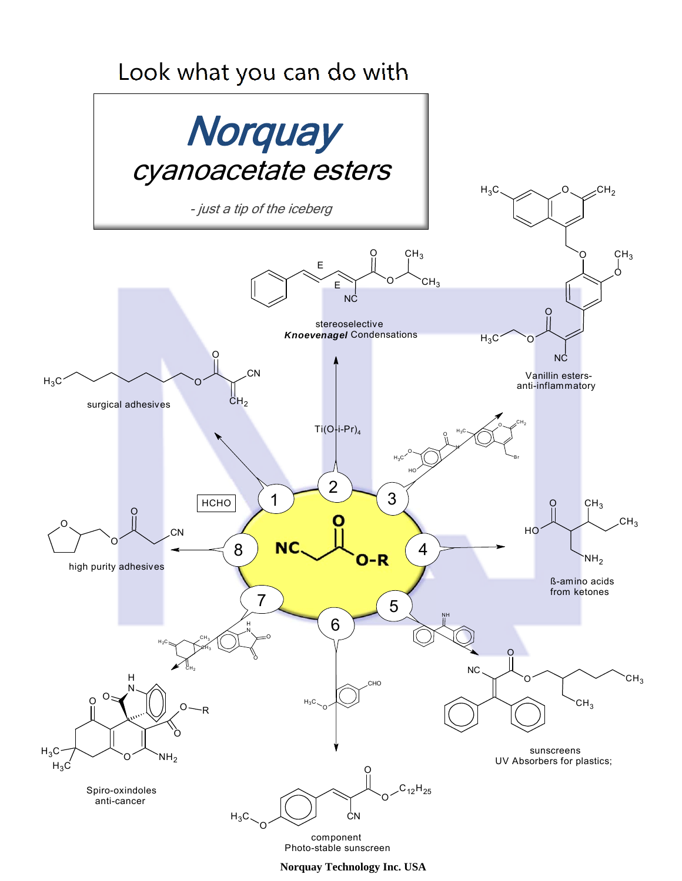## Look what you can do with



Photo-stable sunscreen component

**Norquay Technology Inc. USA**